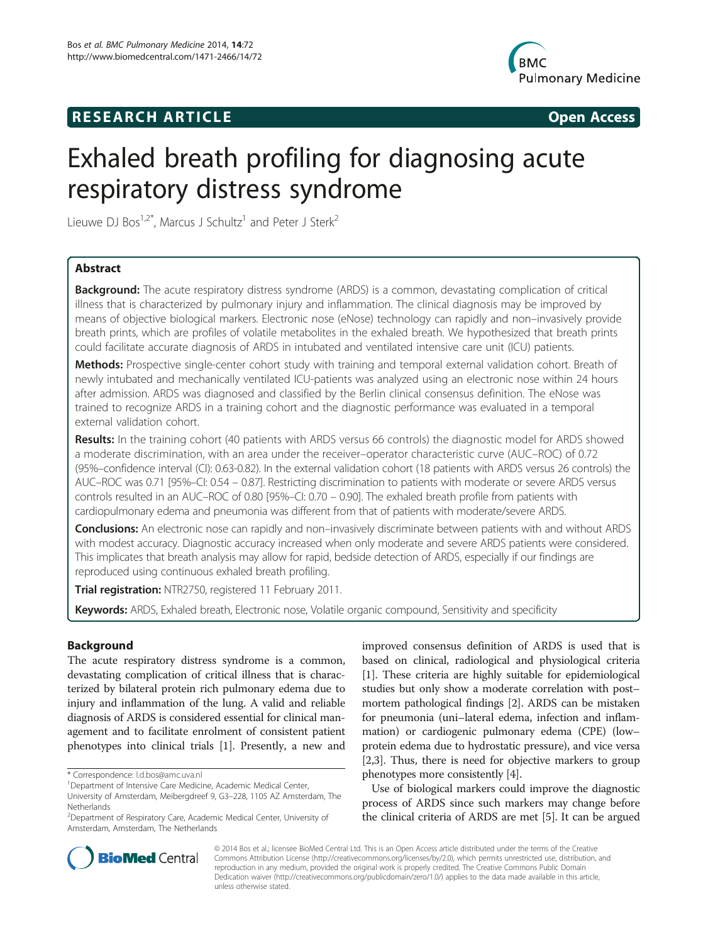# **RESEARCH ARTICLE Example 2014 CONSIDERING CONSIDERING CONSIDERING CONSIDERING CONSIDERING CONSIDERING CONSIDERING CONSIDERING CONSIDERING CONSIDERING CONSIDERING CONSIDERING CONSIDERING CONSIDERING CONSIDERING CONSIDE**



# Exhaled breath profiling for diagnosing acute respiratory distress syndrome

Lieuwe DJ Bos<sup>1,2\*</sup>, Marcus J Schultz<sup>1</sup> and Peter J Sterk<sup>2</sup>

# Abstract

**Background:** The acute respiratory distress syndrome (ARDS) is a common, devastating complication of critical illness that is characterized by pulmonary injury and inflammation. The clinical diagnosis may be improved by means of objective biological markers. Electronic nose (eNose) technology can rapidly and non–invasively provide breath prints, which are profiles of volatile metabolites in the exhaled breath. We hypothesized that breath prints could facilitate accurate diagnosis of ARDS in intubated and ventilated intensive care unit (ICU) patients.

Methods: Prospective single-center cohort study with training and temporal external validation cohort. Breath of newly intubated and mechanically ventilated ICU-patients was analyzed using an electronic nose within 24 hours after admission. ARDS was diagnosed and classified by the Berlin clinical consensus definition. The eNose was trained to recognize ARDS in a training cohort and the diagnostic performance was evaluated in a temporal external validation cohort.

Results: In the training cohort (40 patients with ARDS versus 66 controls) the diagnostic model for ARDS showed a moderate discrimination, with an area under the receiver–operator characteristic curve (AUC–ROC) of 0.72 (95%–confidence interval (CI): 0.63-0.82). In the external validation cohort (18 patients with ARDS versus 26 controls) the AUC–ROC was 0.71 [95%–CI: 0.54 – 0.87]. Restricting discrimination to patients with moderate or severe ARDS versus controls resulted in an AUC–ROC of 0.80 [95%–CI: 0.70 – 0.90]. The exhaled breath profile from patients with cardiopulmonary edema and pneumonia was different from that of patients with moderate/severe ARDS.

Conclusions: An electronic nose can rapidly and non-invasively discriminate between patients with and without ARDS with modest accuracy. Diagnostic accuracy increased when only moderate and severe ARDS patients were considered. This implicates that breath analysis may allow for rapid, bedside detection of ARDS, especially if our findings are reproduced using continuous exhaled breath profiling.

Trial registration: [NTR2750,](http://www.trialregister.nl/trialreg/admin/rctview.asp?TC=2750) registered 11 February 2011.

Keywords: ARDS, Exhaled breath, Electronic nose, Volatile organic compound, Sensitivity and specificity

# Background

The acute respiratory distress syndrome is a common, devastating complication of critical illness that is characterized by bilateral protein rich pulmonary edema due to injury and inflammation of the lung. A valid and reliable diagnosis of ARDS is considered essential for clinical management and to facilitate enrolment of consistent patient phenotypes into clinical trials [[1](#page-7-0)]. Presently, a new and improved consensus definition of ARDS is used that is based on clinical, radiological and physiological criteria [[1\]](#page-7-0). These criteria are highly suitable for epidemiological studies but only show a moderate correlation with post– mortem pathological findings [\[2](#page-7-0)]. ARDS can be mistaken for pneumonia (uni–lateral edema, infection and inflammation) or cardiogenic pulmonary edema (CPE) (low– protein edema due to hydrostatic pressure), and vice versa [[2,3](#page-7-0)]. Thus, there is need for objective markers to group phenotypes more consistently [\[4\]](#page-7-0).

Use of biological markers could improve the diagnostic process of ARDS since such markers may change before the clinical criteria of ARDS are met [\[5](#page-7-0)]. It can be argued



© 2014 Bos et al.; licensee BioMed Central Ltd. This is an Open Access article distributed under the terms of the Creative Commons Attribution License [\(http://creativecommons.org/licenses/by/2.0\)](http://creativecommons.org/licenses/by/2.0), which permits unrestricted use, distribution, and reproduction in any medium, provided the original work is properly credited. The Creative Commons Public Domain Dedication waiver [\(http://creativecommons.org/publicdomain/zero/1.0/](http://creativecommons.org/publicdomain/zero/1.0/)) applies to the data made available in this article, unless otherwise stated.

<sup>\*</sup> Correspondence: [l.d.bos@amc.uva.nl](mailto:l.d.bos@amc.uva.nl) <sup>1</sup>

<sup>&</sup>lt;sup>1</sup>Department of Intensive Care Medicine, Academic Medical Center,

University of Amsterdam, Meibergdreef 9, G3–228, 1105 AZ Amsterdam, The Netherlands

<sup>&</sup>lt;sup>2</sup>Department of Respiratory Care, Academic Medical Center, University of Amsterdam, Amsterdam, The Netherlands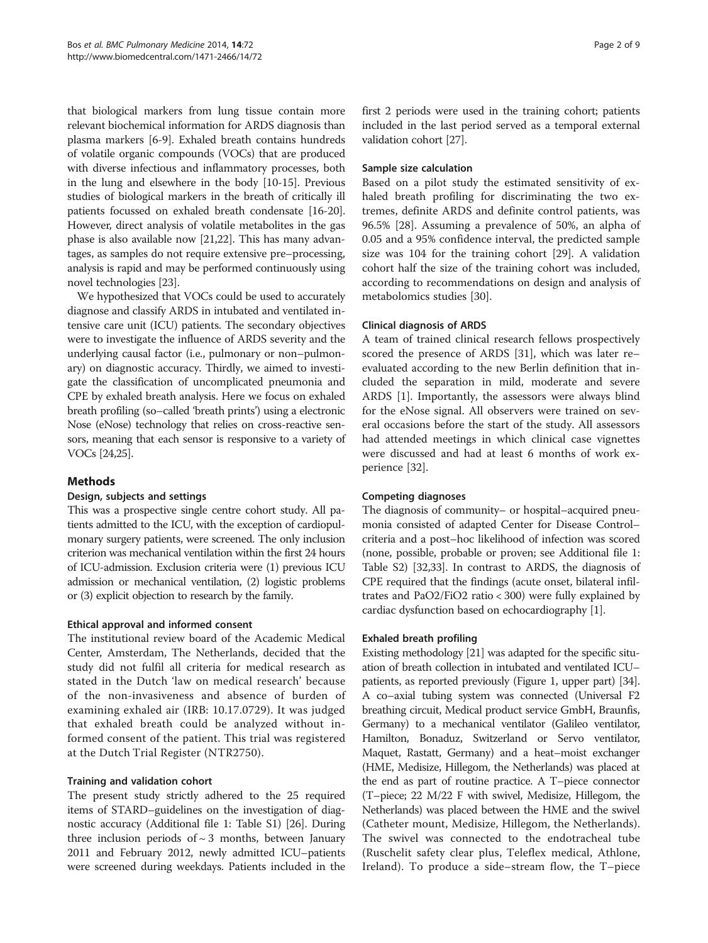that biological markers from lung tissue contain more relevant biochemical information for ARDS diagnosis than plasma markers [\[6-9](#page-7-0)]. Exhaled breath contains hundreds of volatile organic compounds (VOCs) that are produced with diverse infectious and inflammatory processes, both in the lung and elsewhere in the body [\[10-15](#page-7-0)]. Previous studies of biological markers in the breath of critically ill patients focussed on exhaled breath condensate [[16](#page-7-0)-[20](#page-7-0)]. However, direct analysis of volatile metabolites in the gas phase is also available now [\[21,22](#page-7-0)]. This has many advantages, as samples do not require extensive pre–processing, analysis is rapid and may be performed continuously using novel technologies [\[23\]](#page-7-0).

We hypothesized that VOCs could be used to accurately diagnose and classify ARDS in intubated and ventilated intensive care unit (ICU) patients. The secondary objectives were to investigate the influence of ARDS severity and the underlying causal factor (i.e., pulmonary or non–pulmonary) on diagnostic accuracy. Thirdly, we aimed to investigate the classification of uncomplicated pneumonia and CPE by exhaled breath analysis. Here we focus on exhaled breath profiling (so–called 'breath prints') using a electronic Nose (eNose) technology that relies on cross-reactive sensors, meaning that each sensor is responsive to a variety of VOCs [\[24,25](#page-7-0)].

# Methods

# Design, subjects and settings

This was a prospective single centre cohort study. All patients admitted to the ICU, with the exception of cardiopulmonary surgery patients, were screened. The only inclusion criterion was mechanical ventilation within the first 24 hours of ICU-admission. Exclusion criteria were (1) previous ICU admission or mechanical ventilation, (2) logistic problems or (3) explicit objection to research by the family.

# Ethical approval and informed consent

The institutional review board of the Academic Medical Center, Amsterdam, The Netherlands, decided that the study did not fulfil all criteria for medical research as stated in the Dutch 'law on medical research' because of the non-invasiveness and absence of burden of examining exhaled air (IRB: 10.17.0729). It was judged that exhaled breath could be analyzed without informed consent of the patient. This trial was registered at the Dutch Trial Register ([NTR2750\)](http://www.trialregistry.nl/NTR2750).

#### Training and validation cohort

The present study strictly adhered to the 25 required items of STARD–guidelines on the investigation of diagnostic accuracy (Additional file [1:](#page-6-0) Table S1) [[26](#page-7-0)]. During three inclusion periods of  $\sim$  3 months, between January 2011 and February 2012, newly admitted ICU–patients were screened during weekdays. Patients included in the first 2 periods were used in the training cohort; patients included in the last period served as a temporal external validation cohort [\[27\]](#page-7-0).

## Sample size calculation

Based on a pilot study the estimated sensitivity of exhaled breath profiling for discriminating the two extremes, definite ARDS and definite control patients, was 96.5% [[28](#page-7-0)]. Assuming a prevalence of 50%, an alpha of 0.05 and a 95% confidence interval, the predicted sample size was 104 for the training cohort [[29\]](#page-7-0). A validation cohort half the size of the training cohort was included, according to recommendations on design and analysis of metabolomics studies [[30\]](#page-7-0).

### Clinical diagnosis of ARDS

A team of trained clinical research fellows prospectively scored the presence of ARDS [[31\]](#page-7-0), which was later re– evaluated according to the new Berlin definition that included the separation in mild, moderate and severe ARDS [\[1](#page-7-0)]. Importantly, the assessors were always blind for the eNose signal. All observers were trained on several occasions before the start of the study. All assessors had attended meetings in which clinical case vignettes were discussed and had at least 6 months of work experience [\[32](#page-7-0)].

# Competing diagnoses

The diagnosis of community– or hospital–acquired pneumonia consisted of adapted Center for Disease Control– criteria and a post–hoc likelihood of infection was scored (none, possible, probable or proven; see Additional file [1](#page-6-0): Table S2) [\[32,33\]](#page-7-0). In contrast to ARDS, the diagnosis of CPE required that the findings (acute onset, bilateral infiltrates and PaO2/FiO2 ratio < 300) were fully explained by cardiac dysfunction based on echocardiography [[1](#page-7-0)].

# Exhaled breath profiling

Existing methodology [\[21\]](#page-7-0) was adapted for the specific situation of breath collection in intubated and ventilated ICU– patients, as reported previously (Figure [1,](#page-2-0) upper part) [\[34](#page-7-0)]. A co–axial tubing system was connected (Universal F2 breathing circuit, Medical product service GmbH, Braunfis, Germany) to a mechanical ventilator (Galileo ventilator, Hamilton, Bonaduz, Switzerland or Servo ventilator, Maquet, Rastatt, Germany) and a heat–moist exchanger (HME, Medisize, Hillegom, the Netherlands) was placed at the end as part of routine practice. A T–piece connector (T–piece; 22 M/22 F with swivel, Medisize, Hillegom, the Netherlands) was placed between the HME and the swivel (Catheter mount, Medisize, Hillegom, the Netherlands). The swivel was connected to the endotracheal tube (Ruschelit safety clear plus, Teleflex medical, Athlone, Ireland). To produce a side–stream flow, the T–piece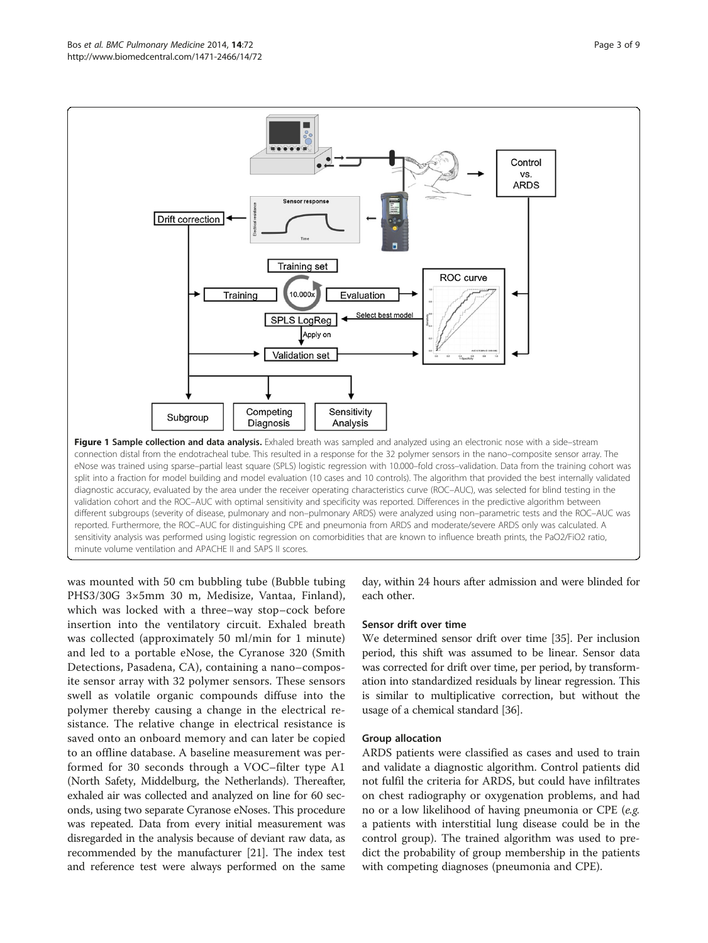<span id="page-2-0"></span>

was mounted with 50 cm bubbling tube (Bubble tubing PHS3/30G 3×5mm 30 m, Medisize, Vantaa, Finland), which was locked with a three–way stop–cock before insertion into the ventilatory circuit. Exhaled breath was collected (approximately 50 ml/min for 1 minute) and led to a portable eNose, the Cyranose 320 (Smith Detections, Pasadena, CA), containing a nano–composite sensor array with 32 polymer sensors. These sensors swell as volatile organic compounds diffuse into the polymer thereby causing a change in the electrical resistance. The relative change in electrical resistance is saved onto an onboard memory and can later be copied to an offline database. A baseline measurement was performed for 30 seconds through a VOC–filter type A1 (North Safety, Middelburg, the Netherlands). Thereafter, exhaled air was collected and analyzed on line for 60 seconds, using two separate Cyranose eNoses. This procedure was repeated. Data from every initial measurement was disregarded in the analysis because of deviant raw data, as recommended by the manufacturer [[21](#page-7-0)]. The index test and reference test were always performed on the same

day, within 24 hours after admission and were blinded for each other.

#### Sensor drift over time

We determined sensor drift over time [\[35\]](#page-7-0). Per inclusion period, this shift was assumed to be linear. Sensor data was corrected for drift over time, per period, by transformation into standardized residuals by linear regression. This is similar to multiplicative correction, but without the usage of a chemical standard [\[36\]](#page-8-0).

#### Group allocation

ARDS patients were classified as cases and used to train and validate a diagnostic algorithm. Control patients did not fulfil the criteria for ARDS, but could have infiltrates on chest radiography or oxygenation problems, and had no or a low likelihood of having pneumonia or CPE (e.g. a patients with interstitial lung disease could be in the control group). The trained algorithm was used to predict the probability of group membership in the patients with competing diagnoses (pneumonia and CPE).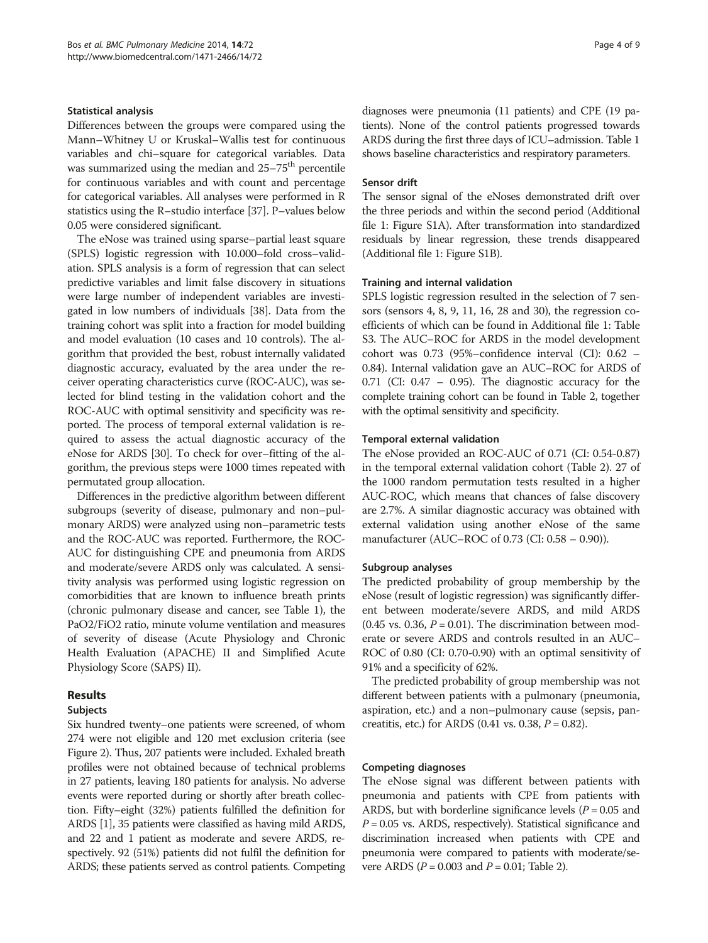#### Statistical analysis

Differences between the groups were compared using the Mann–Whitney U or Kruskal–Wallis test for continuous variables and chi–square for categorical variables. Data was summarized using the median and 25–75<sup>th</sup> percentile for continuous variables and with count and percentage for categorical variables. All analyses were performed in R statistics using the R–studio interface [\[37\]](#page-8-0). P–values below 0.05 were considered significant.

The eNose was trained using sparse–partial least square (SPLS) logistic regression with 10.000–fold cross–validation. SPLS analysis is a form of regression that can select predictive variables and limit false discovery in situations were large number of independent variables are investigated in low numbers of individuals [\[38\]](#page-8-0). Data from the training cohort was split into a fraction for model building and model evaluation (10 cases and 10 controls). The algorithm that provided the best, robust internally validated diagnostic accuracy, evaluated by the area under the receiver operating characteristics curve (ROC-AUC), was selected for blind testing in the validation cohort and the ROC-AUC with optimal sensitivity and specificity was reported. The process of temporal external validation is required to assess the actual diagnostic accuracy of the eNose for ARDS [\[30\]](#page-7-0). To check for over–fitting of the algorithm, the previous steps were 1000 times repeated with permutated group allocation.

Differences in the predictive algorithm between different subgroups (severity of disease, pulmonary and non–pulmonary ARDS) were analyzed using non–parametric tests and the ROC-AUC was reported. Furthermore, the ROC-AUC for distinguishing CPE and pneumonia from ARDS and moderate/severe ARDS only was calculated. A sensitivity analysis was performed using logistic regression on comorbidities that are known to influence breath prints (chronic pulmonary disease and cancer, see Table [1\)](#page-4-0), the PaO2/FiO2 ratio, minute volume ventilation and measures of severity of disease (Acute Physiology and Chronic Health Evaluation (APACHE) II and Simplified Acute Physiology Score (SAPS) II).

#### Results

#### Subjects

Six hundred twenty–one patients were screened, of whom 274 were not eligible and 120 met exclusion criteria (see Figure [2\)](#page-5-0). Thus, 207 patients were included. Exhaled breath profiles were not obtained because of technical problems in 27 patients, leaving 180 patients for analysis. No adverse events were reported during or shortly after breath collection. Fifty–eight (32%) patients fulfilled the definition for ARDS [\[1\]](#page-7-0), 35 patients were classified as having mild ARDS, and 22 and 1 patient as moderate and severe ARDS, respectively. 92 (51%) patients did not fulfil the definition for ARDS; these patients served as control patients. Competing diagnoses were pneumonia (11 patients) and CPE (19 patients). None of the control patients progressed towards ARDS during the first three days of ICU–admission. Table [1](#page-4-0) shows baseline characteristics and respiratory parameters.

#### Sensor drift

The sensor signal of the eNoses demonstrated drift over the three periods and within the second period (Additional file [1:](#page-6-0) Figure S1A). After transformation into standardized residuals by linear regression, these trends disappeared (Additional file [1:](#page-6-0) Figure S1B).

#### Training and internal validation

SPLS logistic regression resulted in the selection of 7 sensors (sensors 4, 8, 9, 11, 16, 28 and 30), the regression coefficients of which can be found in Additional file [1:](#page-6-0) Table S3. The AUC–ROC for ARDS in the model development cohort was 0.73 (95%–confidence interval (CI): 0.62 – 0.84). Internal validation gave an AUC–ROC for ARDS of 0.71 (CI: 0.47 – 0.95). The diagnostic accuracy for the complete training cohort can be found in Table [2,](#page-5-0) together with the optimal sensitivity and specificity.

#### Temporal external validation

The eNose provided an ROC-AUC of 0.71 (CI: 0.54-0.87) in the temporal external validation cohort (Table [2\)](#page-5-0). 27 of the 1000 random permutation tests resulted in a higher AUC-ROC, which means that chances of false discovery are 2.7%. A similar diagnostic accuracy was obtained with external validation using another eNose of the same manufacturer (AUC–ROC of 0.73 (CI: 0.58 – 0.90)).

#### Subgroup analyses

The predicted probability of group membership by the eNose (result of logistic regression) was significantly different between moderate/severe ARDS, and mild ARDS  $(0.45 \text{ vs. } 0.36, P = 0.01)$ . The discrimination between moderate or severe ARDS and controls resulted in an AUC– ROC of 0.80 (CI: 0.70-0.90) with an optimal sensitivity of 91% and a specificity of 62%.

The predicted probability of group membership was not different between patients with a pulmonary (pneumonia, aspiration, etc.) and a non–pulmonary cause (sepsis, pancreatitis, etc.) for ARDS (0.41 vs. 0.38,  $P = 0.82$ ).

#### Competing diagnoses

The eNose signal was different between patients with pneumonia and patients with CPE from patients with ARDS, but with borderline significance levels ( $P = 0.05$  and  $P = 0.05$  vs. ARDS, respectively). Statistical significance and discrimination increased when patients with CPE and pneumonia were compared to patients with moderate/severe ARDS ( $P = 0.003$  and  $P = 0.01$ ; Table [2\)](#page-5-0).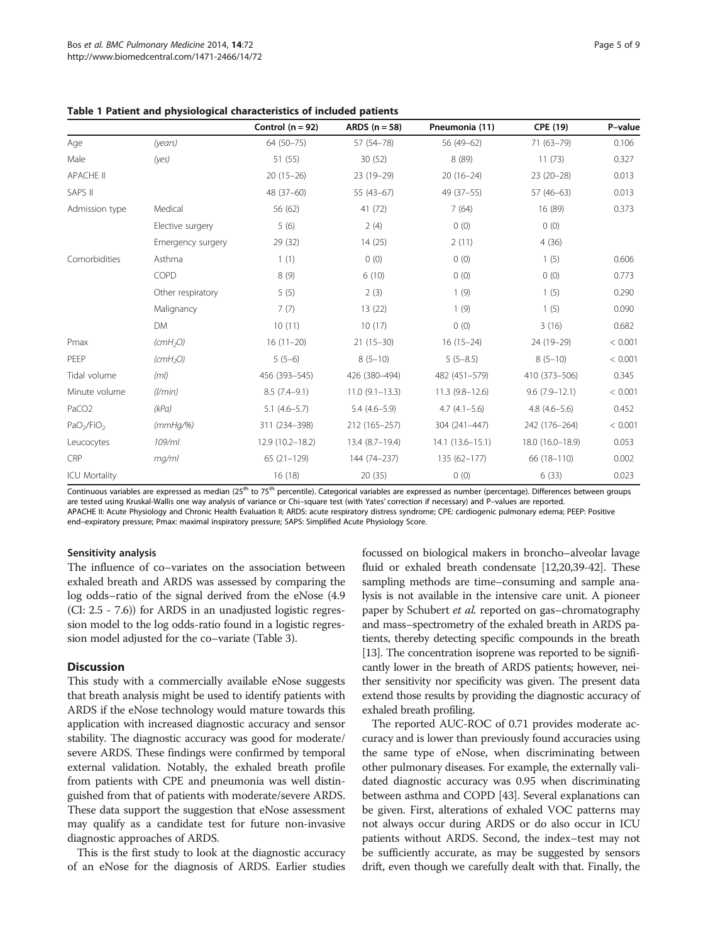<span id="page-4-0"></span>

| Table 1 Patient and physiological characteristics of included patients |  |  |  |
|------------------------------------------------------------------------|--|--|--|
|------------------------------------------------------------------------|--|--|--|

|                                    |                      | Control $(n = 92)$ | ARDS $(n = 58)$    | Pneumonia (11)      | CPE (19)         | P-value |
|------------------------------------|----------------------|--------------------|--------------------|---------------------|------------------|---------|
| Age                                | (years)              | 64 (50-75)         | 57 (54-78)         | 56 (49-62)          | 71 (63-79)       | 0.106   |
| Male                               | (yes)                | 51 (55)            | 30(52)             | 8(89)               | 11(73)           | 0.327   |
| APACHE II                          |                      | $20(15-26)$        | 23 (19-29)         | $20(16-24)$         | $23(20-28)$      | 0.013   |
| SAPS II                            |                      | 48 (37-60)         | $55(43-67)$        | 49 (37-55)          | $57(46-63)$      | 0.013   |
| Admission type                     | Medical              | 56 (62)            | 41 (72)            | 7(64)               | 16 (89)          | 0.373   |
|                                    | Elective surgery     | 5(6)               | 2(4)               | 0(0)                | 0(0)             |         |
|                                    | Emergency surgery    | 29 (32)            | 14(25)             | 2(11)               | 4(36)            |         |
| Comorbidities                      | Asthma               | 1(1)               | 0(0)               | 0(0)                | 1(5)             | 0.606   |
|                                    | COPD                 | 8(9)               | 6(10)              | 0(0)                | 0(0)             | 0.773   |
|                                    | Other respiratory    | 5(5)               | 2(3)               | 1(9)                | 1(5)             | 0.290   |
|                                    | Malignancy           | 7(7)               | 13(22)             | 1(9)                | 1(5)             | 0.090   |
|                                    | <b>DM</b>            | 10(11)             | 10(17)             | 0(0)                | 3(16)            | 0.682   |
| Pmax                               | (cmH <sub>2</sub> O) | $16(11-20)$        | $21(15-30)$        | $16(15-24)$         | 24 (19-29)       | < 0.001 |
| PEEP                               | (cmH <sub>2</sub> O) | $5(5-6)$           | $8(5-10)$          | $5(5-8.5)$          | $8(5-10)$        | < 0.001 |
| Tidal volume                       | (ml)                 | 456 (393-545)      | 426 (380-494)      | 482 (451-579)       | 410 (373-506)    | 0.345   |
| Minute volume                      | $\frac{1}{min}$      | $8.5(7.4-9.1)$     | $11.0(9.1 - 13.3)$ | $11.3(9.8-12.6)$    | $9.6(7.9-12.1)$  | < 0.001 |
| PaCO <sub>2</sub>                  | (kPa)                | $5.1(4.6-5.7)$     | $5.4(4.6-5.9)$     | $4.7(4.1 - 5.6)$    | $4.8(4.6 - 5.6)$ | 0.452   |
| PaO <sub>2</sub> /FiO <sub>2</sub> | $(mmHq/\%)$          | 311 (234-398)      | 212 (165-257)      | 304 (241-447)       | 242 (176-264)    | < 0.001 |
| Leucocytes                         | 109/ml               | 12.9 (10.2-18.2)   | 13.4 (8.7-19.4)    | $14.1(13.6 - 15.1)$ | 18.0 (16.0-18.9) | 0.053   |
| CRP                                | mq/ml                | $65(21-129)$       | 144 (74-237)       | 135 (62-177)        | 66 (18-110)      | 0.002   |
| <b>ICU Mortality</b>               |                      | 16(18)             | 20(35)             | 0(0)                | 6(33)            | 0.023   |

Continuous variables are expressed as median (25<sup>th</sup> to 75<sup>th</sup> percentile). Categorical variables are expressed as number (percentage). Differences between groups are tested using Kruskal-Wallis one way analysis of variance or Chi–square test (with Yates' correction if necessary) and P–values are reported. APACHE II: Acute Physiology and Chronic Health Evaluation II; ARDS: acute respiratory distress syndrome; CPE: cardiogenic pulmonary edema; PEEP: Positive end–expiratory pressure; Pmax: maximal inspiratory pressure; SAPS: Simplified Acute Physiology Score.

#### Sensitivity analysis

The influence of co–variates on the association between exhaled breath and ARDS was assessed by comparing the log odds–ratio of the signal derived from the eNose (4.9 (CI: 2.5 - 7.6)) for ARDS in an unadjusted logistic regression model to the log odds-ratio found in a logistic regression model adjusted for the co–variate (Table [3](#page-6-0)).

# **Discussion**

This study with a commercially available eNose suggests that breath analysis might be used to identify patients with ARDS if the eNose technology would mature towards this application with increased diagnostic accuracy and sensor stability. The diagnostic accuracy was good for moderate/ severe ARDS. These findings were confirmed by temporal external validation. Notably, the exhaled breath profile from patients with CPE and pneumonia was well distinguished from that of patients with moderate/severe ARDS. These data support the suggestion that eNose assessment may qualify as a candidate test for future non-invasive diagnostic approaches of ARDS.

This is the first study to look at the diagnostic accuracy of an eNose for the diagnosis of ARDS. Earlier studies focussed on biological makers in broncho–alveolar lavage fluid or exhaled breath condensate [[12,20](#page-7-0)[,39-42\]](#page-8-0). These sampling methods are time–consuming and sample analysis is not available in the intensive care unit. A pioneer paper by Schubert et al. reported on gas-chromatography and mass–spectrometry of the exhaled breath in ARDS patients, thereby detecting specific compounds in the breath [[13](#page-7-0)]. The concentration isoprene was reported to be significantly lower in the breath of ARDS patients; however, neither sensitivity nor specificity was given. The present data extend those results by providing the diagnostic accuracy of exhaled breath profiling.

The reported AUC-ROC of 0.71 provides moderate accuracy and is lower than previously found accuracies using the same type of eNose, when discriminating between other pulmonary diseases. For example, the externally validated diagnostic accuracy was 0.95 when discriminating between asthma and COPD [[43](#page-8-0)]. Several explanations can be given. First, alterations of exhaled VOC patterns may not always occur during ARDS or do also occur in ICU patients without ARDS. Second, the index–test may not be sufficiently accurate, as may be suggested by sensors drift, even though we carefully dealt with that. Finally, the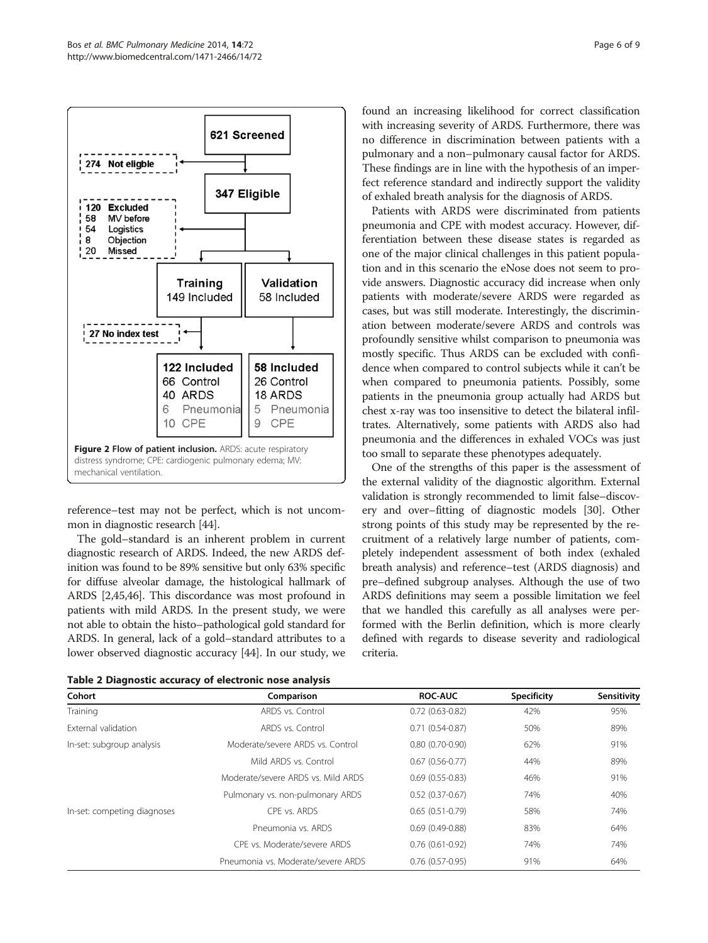<span id="page-5-0"></span>

reference–test may not be perfect, which is not uncommon in diagnostic research [\[44\]](#page-8-0).

The gold–standard is an inherent problem in current diagnostic research of ARDS. Indeed, the new ARDS definition was found to be 89% sensitive but only 63% specific for diffuse alveolar damage, the histological hallmark of ARDS [\[2](#page-7-0)[,45,46\]](#page-8-0). This discordance was most profound in patients with mild ARDS. In the present study, we were not able to obtain the histo–pathological gold standard for ARDS. In general, lack of a gold–standard attributes to a lower observed diagnostic accuracy [[44](#page-8-0)]. In our study, we

|  |  |  | Table 2 Diagnostic accuracy of electronic nose analysis |  |  |
|--|--|--|---------------------------------------------------------|--|--|
|--|--|--|---------------------------------------------------------|--|--|

found an increasing likelihood for correct classification with increasing severity of ARDS. Furthermore, there was no difference in discrimination between patients with a pulmonary and a non–pulmonary causal factor for ARDS. These findings are in line with the hypothesis of an imperfect reference standard and indirectly support the validity of exhaled breath analysis for the diagnosis of ARDS.

Patients with ARDS were discriminated from patients pneumonia and CPE with modest accuracy. However, differentiation between these disease states is regarded as one of the major clinical challenges in this patient population and in this scenario the eNose does not seem to provide answers. Diagnostic accuracy did increase when only patients with moderate/severe ARDS were regarded as cases, but was still moderate. Interestingly, the discrimination between moderate/severe ARDS and controls was profoundly sensitive whilst comparison to pneumonia was mostly specific. Thus ARDS can be excluded with confidence when compared to control subjects while it can't be when compared to pneumonia patients. Possibly, some patients in the pneumonia group actually had ARDS but chest x-ray was too insensitive to detect the bilateral infiltrates. Alternatively, some patients with ARDS also had pneumonia and the differences in exhaled VOCs was just too small to separate these phenotypes adequately.

One of the strengths of this paper is the assessment of the external validity of the diagnostic algorithm. External validation is strongly recommended to limit false–discovery and over–fitting of diagnostic models [\[30\]](#page-7-0). Other strong points of this study may be represented by the recruitment of a relatively large number of patients, completely independent assessment of both index (exhaled breath analysis) and reference–test (ARDS diagnosis) and pre–defined subgroup analyses. Although the use of two ARDS definitions may seem a possible limitation we feel that we handled this carefully as all analyses were performed with the Berlin definition, which is more clearly defined with regards to disease severity and radiological criteria.

| Cohort<br>Comparison        |                                    | <b>ROC-AUC</b>         | <b>Specificity</b> | Sensitivity |
|-----------------------------|------------------------------------|------------------------|--------------------|-------------|
| Training                    | ARDS vs. Control                   | $0.72$ (0.63-0.82)     | 42%                | 95%         |
| External validation         | ARDS vs. Control                   | $0.71(0.54-0.87)$      | 50%                | 89%         |
| In-set: subgroup analysis   | Moderate/severe ARDS vs. Control   | $0.80(0.70-0.90)$      | 62%                | 91%         |
|                             | Mild ARDS vs. Control              | $0.67$ $(0.56 - 0.77)$ | 44%                | 89%         |
|                             | Moderate/severe ARDS vs. Mild ARDS | $0.69(0.55 - 0.83)$    | 46%                | 91%         |
|                             | Pulmonary vs. non-pulmonary ARDS   | $0.52$ (0.37-0.67)     | 74%                | 40%         |
| In-set: competing diagnoses | CPE vs. ARDS                       | $0.65(0.51-0.79)$      | 58%                | 74%         |
|                             | Pneumonia vs. ARDS                 | $0.69(0.49 - 0.88)$    | 83%                | 64%         |
|                             | CPF vs. Moderate/severe ARDS       | $0.76(0.61-0.92)$      | 74%                | 74%         |
|                             | Pneumonia vs. Moderate/severe ARDS | $0.76(0.57-0.95)$      | 91%                | 64%         |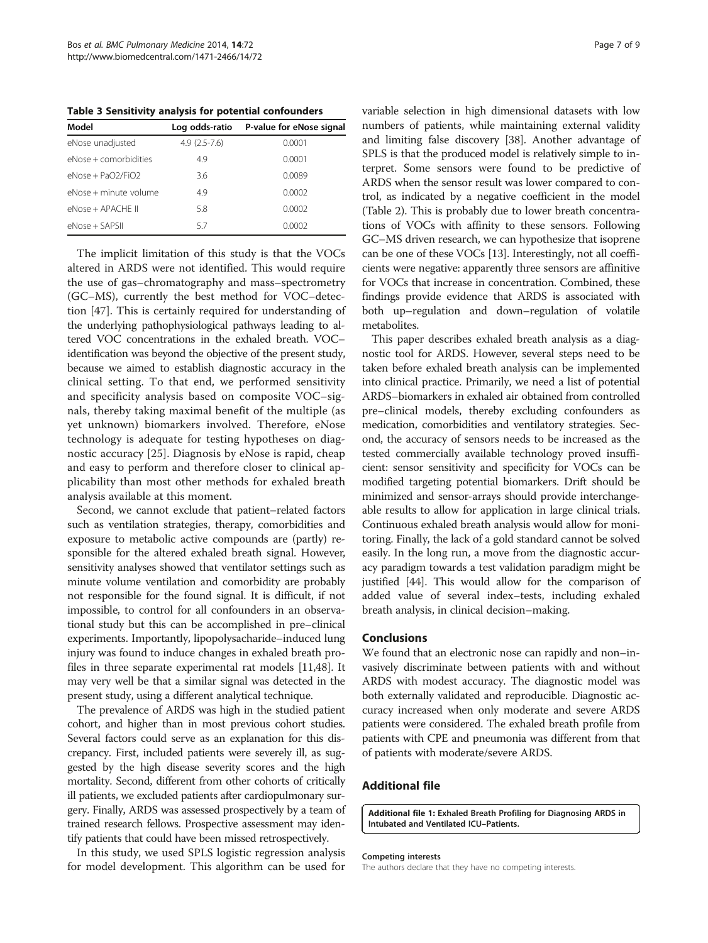<span id="page-6-0"></span>Table 3 Sensitivity analysis for potential confounders

| Model                        | Log odds-ratio | P-value for eNose signal |
|------------------------------|----------------|--------------------------|
| eNose unadjusted             | $4.9(2.5-7.6)$ | 0.0001                   |
| eNose + comorbidities        | 4.9            | 0.0001                   |
| $e$ Nose + Pa $O$ 2/Fi $O$ 2 | 3.6            | 0.0089                   |
| eNose + minute volume        | 4.9            | 0.0002                   |
| eNose + APACHE II            | 5.8            | 0.0002                   |
| eNose + SAPSII               | 57             | 0.0002                   |

The implicit limitation of this study is that the VOCs altered in ARDS were not identified. This would require the use of gas–chromatography and mass–spectrometry (GC–MS), currently the best method for VOC–detection [\[47](#page-8-0)]. This is certainly required for understanding of the underlying pathophysiological pathways leading to altered VOC concentrations in the exhaled breath. VOC– identification was beyond the objective of the present study, because we aimed to establish diagnostic accuracy in the clinical setting. To that end, we performed sensitivity and specificity analysis based on composite VOC–signals, thereby taking maximal benefit of the multiple (as yet unknown) biomarkers involved. Therefore, eNose technology is adequate for testing hypotheses on diagnostic accuracy [[25](#page-7-0)]. Diagnosis by eNose is rapid, cheap and easy to perform and therefore closer to clinical applicability than most other methods for exhaled breath analysis available at this moment.

Second, we cannot exclude that patient–related factors such as ventilation strategies, therapy, comorbidities and exposure to metabolic active compounds are (partly) responsible for the altered exhaled breath signal. However, sensitivity analyses showed that ventilator settings such as minute volume ventilation and comorbidity are probably not responsible for the found signal. It is difficult, if not impossible, to control for all confounders in an observational study but this can be accomplished in pre–clinical experiments. Importantly, lipopolysacharide–induced lung injury was found to induce changes in exhaled breath profiles in three separate experimental rat models [\[11,](#page-7-0)[48](#page-8-0)]. It may very well be that a similar signal was detected in the present study, using a different analytical technique.

The prevalence of ARDS was high in the studied patient cohort, and higher than in most previous cohort studies. Several factors could serve as an explanation for this discrepancy. First, included patients were severely ill, as suggested by the high disease severity scores and the high mortality. Second, different from other cohorts of critically ill patients, we excluded patients after cardiopulmonary surgery. Finally, ARDS was assessed prospectively by a team of trained research fellows. Prospective assessment may identify patients that could have been missed retrospectively.

In this study, we used SPLS logistic regression analysis for model development. This algorithm can be used for variable selection in high dimensional datasets with low numbers of patients, while maintaining external validity and limiting false discovery [\[38\]](#page-8-0). Another advantage of SPLS is that the produced model is relatively simple to interpret. Some sensors were found to be predictive of ARDS when the sensor result was lower compared to control, as indicated by a negative coefficient in the model (Table [2](#page-5-0)). This is probably due to lower breath concentrations of VOCs with affinity to these sensors. Following GC–MS driven research, we can hypothesize that isoprene can be one of these VOCs [[13](#page-7-0)]. Interestingly, not all coefficients were negative: apparently three sensors are affinitive for VOCs that increase in concentration. Combined, these findings provide evidence that ARDS is associated with both up–regulation and down–regulation of volatile metabolites.

This paper describes exhaled breath analysis as a diagnostic tool for ARDS. However, several steps need to be taken before exhaled breath analysis can be implemented into clinical practice. Primarily, we need a list of potential ARDS–biomarkers in exhaled air obtained from controlled pre–clinical models, thereby excluding confounders as medication, comorbidities and ventilatory strategies. Second, the accuracy of sensors needs to be increased as the tested commercially available technology proved insufficient: sensor sensitivity and specificity for VOCs can be modified targeting potential biomarkers. Drift should be minimized and sensor-arrays should provide interchangeable results to allow for application in large clinical trials. Continuous exhaled breath analysis would allow for monitoring. Finally, the lack of a gold standard cannot be solved easily. In the long run, a move from the diagnostic accuracy paradigm towards a test validation paradigm might be justified [[44](#page-8-0)]. This would allow for the comparison of added value of several index–tests, including exhaled breath analysis, in clinical decision–making.

#### Conclusions

We found that an electronic nose can rapidly and non–invasively discriminate between patients with and without ARDS with modest accuracy. The diagnostic model was both externally validated and reproducible. Diagnostic accuracy increased when only moderate and severe ARDS patients were considered. The exhaled breath profile from patients with CPE and pneumonia was different from that of patients with moderate/severe ARDS.

# Additional file

[Additional file 1:](http://www.biomedcentral.com/content/supplementary/1471-2466-14-72-S1.doc) Exhaled Breath Profiling for Diagnosing ARDS in Intubated and Ventilated ICU–Patients.

#### Competing interests

The authors declare that they have no competing interests.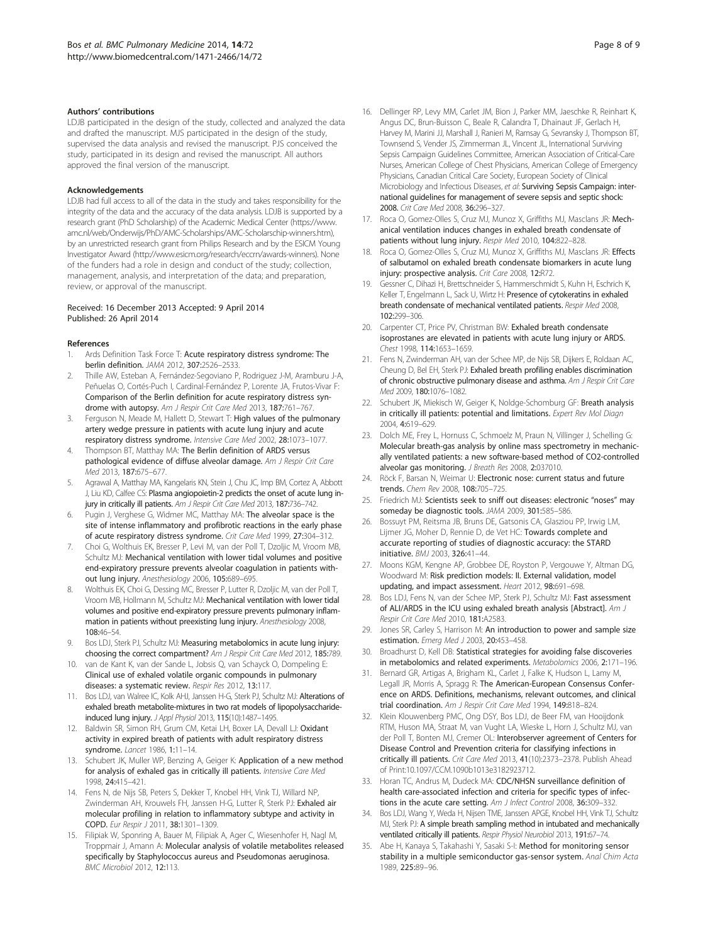#### <span id="page-7-0"></span>Authors' contributions

LDJB participated in the design of the study, collected and analyzed the data and drafted the manuscript. MJS participated in the design of the study, supervised the data analysis and revised the manuscript. PJS conceived the study, participated in its design and revised the manuscript. All authors approved the final version of the manuscript.

#### Acknowledgements

LDJB had full access to all of the data in the study and takes responsibility for the integrity of the data and the accuracy of the data analysis. LDJB is supported by a research grant (PhD Scholarship) of the Academic Medical Center [\(https://www.](https://www.amc.nl/web/Onderwijs/PhD/AMC-Scholarships/AMC-Scholarschip-winners.htm) [amc.nl/web/Onderwijs/PhD/AMC-Scholarships/AMC-Scholarschip-winners.htm](https://www.amc.nl/web/Onderwijs/PhD/AMC-Scholarships/AMC-Scholarschip-winners.htm)), by an unrestricted research grant from Philips Research and by the ESICM Young Investigator Award (<http://www.esicm.org/research/eccrn/awards-winners>). None of the funders had a role in design and conduct of the study; collection, management, analysis, and interpretation of the data; and preparation, review, or approval of the manuscript.

#### Received: 16 December 2013 Accepted: 9 April 2014 Published: 26 April 2014

#### References

- 1. Ards Definition Task Force T: Acute respiratory distress syndrome: The berlin definition. JAMA 2012, 307:2526–2533.
- 2. Thille AW, Esteban A, Fernández-Segoviano P, Rodriguez J-M, Aramburu J-A, Peñuelas O, Cortés-Puch I, Cardinal-Fernández P, Lorente JA, Frutos-Vivar F: Comparison of the Berlin definition for acute respiratory distress syndrome with autopsy. Am J Respir Crit Care Med 2013, 187:761-767.
- 3. Ferguson N, Meade M, Hallett D, Stewart T: High values of the pulmonary artery wedge pressure in patients with acute lung injury and acute respiratory distress syndrome. Intensive Care Med 2002, 28:1073–1077.
- 4. Thompson BT, Matthay MA: The Berlin definition of ARDS versus pathological evidence of diffuse alveolar damage. Am J Respir Crit Care Med 2013, 187:675–677.
- 5. Agrawal A, Matthay MA, Kangelaris KN, Stein J, Chu JC, Imp BM, Cortez A, Abbott J, Liu KD, Calfee CS: Plasma angiopoietin-2 predicts the onset of acute lung injury in critically ill patients. Am J Respir Crit Care Med 2013, 187:736-742.
- Pugin J, Verghese G, Widmer MC, Matthay MA: The alveolar space is the site of intense inflammatory and profibrotic reactions in the early phase of acute respiratory distress syndrome. Crit Care Med 1999, 27:304–312.
- 7. Choi G, Wolthuis EK, Bresser P, Levi M, van der Poll T, Dzoljic M, Vroom MB, Schultz MJ: Mechanical ventilation with lower tidal volumes and positive end-expiratory pressure prevents alveolar coagulation in patients without lung injury. Anesthesiology 2006, 105:689–695.
- 8. Wolthuis EK, Choi G, Dessing MC, Bresser P, Lutter R, Dzoljic M, van der Poll T, Vroom MB, Hollmann M, Schultz MJ: Mechanical ventilation with lower tidal volumes and positive end-expiratory pressure prevents pulmonary inflammation in patients without preexisting lung injury. Anesthesiology 2008, 108:46–54.
- 9. Bos LDJ, Sterk PJ, Schultz MJ: Measuring metabolomics in acute lung injury: choosing the correct compartment? Am J Respir Crit Care Med 2012, 185:789.
- 10. van de Kant K, van der Sande L, Jobsis Q, van Schayck O, Dompeling E: Clinical use of exhaled volatile organic compounds in pulmonary diseases: a systematic review. Respir Res 2012, 13:117.
- 11. Bos LDJ, van Walree IC, Kolk AHJ, Janssen H-G, Sterk PJ, Schultz MJ: Alterations of exhaled breath metabolite-mixtures in two rat models of lipopolysaccharideinduced lung injury. J Appl Physiol 2013, 115(10):1487–1495.
- 12. Baldwin SR, Simon RH, Grum CM, Ketai LH, Boxer LA, Devall LJ: Oxidant activity in expired breath of patients with adult respiratory distress syndrome. Lancet 1986, 1:11-14.
- 13. Schubert JK, Muller WP, Benzing A, Geiger K: Application of a new method for analysis of exhaled gas in critically ill patients. Intensive Care Med 1998, 24:415–421.
- 14. Fens N, de Nijs SB, Peters S, Dekker T, Knobel HH, Vink TJ, Willard NP, Zwinderman AH, Krouwels FH, Janssen H-G, Lutter R, Sterk PJ: Exhaled air molecular profiling in relation to inflammatory subtype and activity in COPD. Eur Respir J 2011, 38:1301–1309.
- 15. Filipiak W, Sponring A, Bauer M, Filipiak A, Ager C, Wiesenhofer H, Nagl M, Troppmair J, Amann A: Molecular analysis of volatile metabolites released specifically by Staphylococcus aureus and Pseudomonas aeruginosa. BMC Microbiol 2012, 12:113.
- 16. Dellinger RP, Levy MM, Carlet JM, Bion J, Parker MM, Jaeschke R, Reinhart K, Angus DC, Brun-Buisson C, Beale R, Calandra T, Dhainaut JF, Gerlach H, Harvey M, Marini JJ, Marshall J, Ranieri M, Ramsay G, Sevransky J, Thompson BT, Townsend S, Vender JS, Zimmerman JL, Vincent JL, International Surviving Sepsis Campaign Guidelines Committee, American Association of Critical-Care Nurses, American College of Chest Physicians, American College of Emergency Physicians, Canadian Critical Care Society, European Society of Clinical Microbiology and Infectious Diseases, et al: Surviving Sepsis Campaign: international guidelines for management of severe sepsis and septic shock: 2008. Crit Care Med 2008, 36:296–327.
- 17. Roca O, Gomez-Olles S, Cruz MJ, Munoz X, Griffiths MJ, Masclans JR: Mechanical ventilation induces changes in exhaled breath condensate of patients without lung injury. Respir Med 2010, 104:822–828.
- 18. Roca O, Gomez-Olles S, Cruz MJ, Munoz X, Griffiths MJ, Masclans JR: Effects of salbutamol on exhaled breath condensate biomarkers in acute lung injury: prospective analysis. Crit Care 2008, 12:R72.
- 19. Gessner C, Dihazi H, Brettschneider S, Hammerschmidt S, Kuhn H, Eschrich K, Keller T, Engelmann L, Sack U, Wirtz H: Presence of cytokeratins in exhaled breath condensate of mechanical ventilated patients. Respir Med 2008, 102:299–306.
- 20. Carpenter CT, Price PV, Christman BW: Exhaled breath condensate isoprostanes are elevated in patients with acute lung injury or ARDS. Chest 1998, 114:1653–1659.
- 21. Fens N, Zwinderman AH, van der Schee MP, de Nijs SB, Dijkers E, Roldaan AC, Cheung D, Bel EH, Sterk PJ: Exhaled breath profiling enables discrimination of chronic obstructive pulmonary disease and asthma. Am J Respir Crit Care Med 2009, 180:1076–1082.
- 22. Schubert JK, Miekisch W, Geiger K, Noldge-Schomburg GF: Breath analysis in critically ill patients: potential and limitations. Expert Rev Mol Diagn 2004, 4:619–629.
- 23. Dolch ME, Frey L, Hornuss C, Schmoelz M, Praun N, Villinger J, Schelling G: Molecular breath-gas analysis by online mass spectrometry in mechanically ventilated patients: a new software-based method of CO2-controlled alveolar gas monitoring. J Breath Res 2008, 2:037010.
- 24. Röck F, Barsan N, Weimar U: Electronic nose: current status and future trends. Chem Rev 2008, 108:705–725.
- 25. Friedrich MJ: Scientists seek to sniff out diseases: electronic "noses" may someday be diagnostic tools. JAMA 2009, 301:585–586.
- 26. Bossuyt PM, Reitsma JB, Bruns DE, Gatsonis CA, Glasziou PP, Irwig LM, Lijmer JG, Moher D, Rennie D, de Vet HC: Towards complete and accurate reporting of studies of diagnostic accuracy: the STARD initiative. BMJ 2003, 326:41–44.
- 27. Moons KGM, Kengne AP, Grobbee DE, Royston P, Vergouwe Y, Altman DG, Woodward M: Risk prediction models: II. External validation, model updating, and impact assessment. Heart 2012, 98:691–698.
- 28. Bos LDJ, Fens N, van der Schee MP, Sterk PJ, Schultz MJ: Fast assessment of ALI/ARDS in the ICU using exhaled breath analysis [Abstract]. Am J Respir Crit Care Med 2010, 181:A2583.
- 29. Jones SR, Carley S, Harrison M: An introduction to power and sample size estimation. Emerg Med J 2003, 20:453–458.
- 30. Broadhurst D, Kell DB: Statistical strategies for avoiding false discoveries in metabolomics and related experiments. Metabolomics 2006, 2:171–196.
- 31. Bernard GR, Artigas A, Brigham KL, Carlet J, Falke K, Hudson L, Lamy M, Legall JR, Morris A, Spragg R: The American-European Consensus Conference on ARDS. Definitions, mechanisms, relevant outcomes, and clinical trial coordination. Am J Respir Crit Care Med 1994, 149:818–824.
- 32. Klein Klouwenberg PMC, Ong DSY, Bos LDJ, de Beer FM, van Hooijdonk RTM, Huson MA, Straat M, van Vught LA, Wieske L, Horn J, Schultz MJ, van der Poll T, Bonten MJ, Cremer OL: Interobserver agreement of Centers for Disease Control and Prevention criteria for classifying infections in critically ill patients. Crit Care Med 2013, 41(10):2373–2378. Publish Ahead of Print:10.1097/CCM.1090b1013e3182923712.
- 33. Horan TC, Andrus M, Dudeck MA: CDC/NHSN surveillance definition of health care-associated infection and criteria for specific types of infections in the acute care setting. Am J Infect Control 2008, 36:309-332.
- 34. Bos LDJ, Wang Y, Weda H, Nijsen TME, Janssen APGE, Knobel HH, Vink TJ, Schultz MJ, Sterk PJ: A simple breath sampling method in intubated and mechanically ventilated critically ill patients. Respir Physiol Neurobiol 2013, 191:67–74.
- 35. Abe H, Kanaya S, Takahashi Y, Sasaki S-I: Method for monitoring sensor stability in a multiple semiconductor gas-sensor system. Anal Chim Acta 1989, 225:89–96.